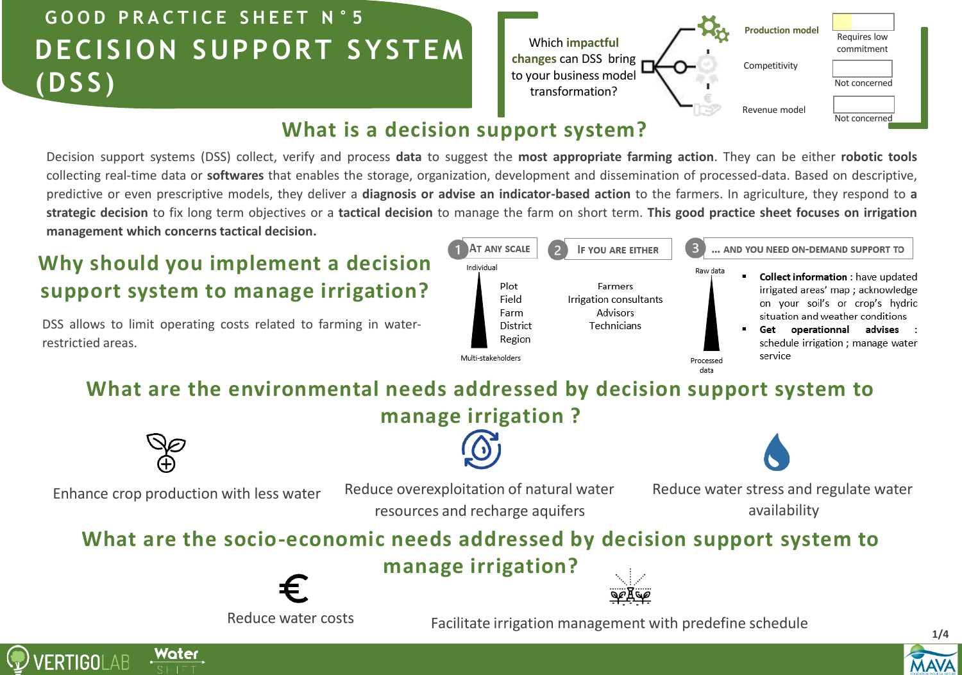## **DECISION SUPPORT SYSTEM (DSS) G O O D P R A C T I C E S H E E T N ° 5**

**Production model** Which **impactful changes** can DSS bring to your business model transformation? Requires low commitment Competitivity Revenue model Not concerned Not concerned

## **What is a decision support system?**

Decision support systems (DSS) collect, verify and process **data** to suggest the **most appropriate farming action**. They can be either **robotic tools** collecting real-time data or **softwares** that enables the storage, organization, development and dissemination of processed-data. Based on descriptive, predictive or even prescriptive models, they deliver a **diagnosis or advise an indicator-based action** to the farmers. In agriculture, they respond to **a** strategic decision to fix long term objectives or a tactical decision to manage the farm on short term. This good practice sheet focuses on irrigation **management which concerns tactical decision.**

## **Why should you implement a decision support system to manage irrigation?**

DSS allows to limit operating costs related to farming in waterrestrictied areas.



## **What are the environmental needs addressed by decision support system to**

**manage irrigation ?**



resources and recharge aquifers

Enhance crop production with less water Reduce overexploitation of natural water Reduce water stress and regulate water availability

## **What are the socio-economic needs addressed by decision support system to**

**manage irrigation?**



Reduce water costs

Facilitate irrigation management with predefine schedule



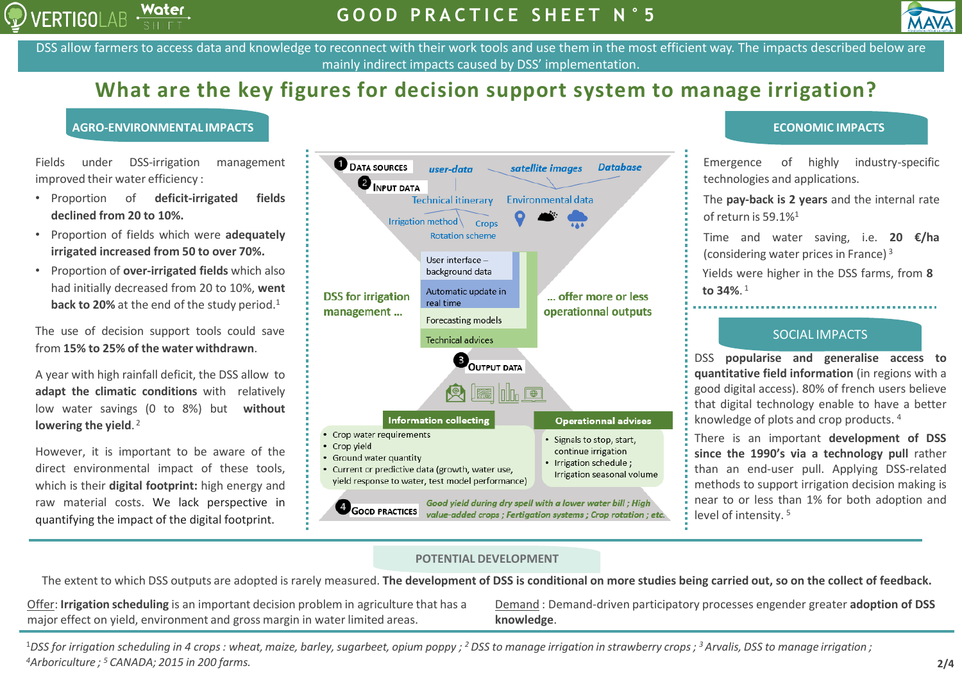



DSS allow farmers to access data and knowledge to reconnect with their work tools and use them in the most efficient way. The impacts described below are mainly indirect impacts caused by DSS' implementation.

## **What are the key figures for decision support system to manage irrigation?**

#### **AGRO-ENVIRONMENTAL IMPACTS ECONOMIC IMPACTS**

Fields under DSS-irrigation management improved their water efficiency :

- Proportion of **deficit-irrigated fields declined from 20 to 10%.**
- Proportion of fields which were **adequately irrigated increased from 50 to over 70%.**
- Proportion of **over-irrigated fields** which also had initially decreased from 20 to 10%, **went back to 20%** at the end of the study period. 1

The use of decision support tools could save from **15% to 25% of the water withdrawn**.

A year with high rainfall deficit, the DSS allow to **adapt the climatic conditions** with relatively low water savings (0 to 8%) but **without lowering the yield**. 2

However, it is important to be aware of the direct environmental impact of these tools, which is their **digital footprint:** high energy and raw material costs. We lack perspective in quantifying the impact of the digital footprint.



Emergence of highly industry-specific technologies and applications.

The **pay-back is 2 years** and the internal rate of return is 59.1%<sup>1</sup>

Time and water saving, i.e. **20 €/ha** (considering water prices in France) <sup>3</sup>

Yields were higher in the DSS farms, from **8 to 34%**. 1

### SOCIAL IMPACTS

DSS **popularise and generalise access to quantitative field information** (in regions with a good digital access). 80% of french users believe that digital technology enable to have a better knowledge of plots and crop products. 4

There is an important **development of DSS since the 1990's via a technology pull** rather than an end-user pull. Applying DSS-related methods to support irrigation decision making is near to or less than 1% for both adoption and level of intensity. 5

### **POTENTIAL DEVELOPMENT**

The extent to which DSS outputs are adopted is rarely measured. **The development of DSS is conditional on more studies being carried out, so on the collect of feedback.**

Offer: **Irrigation scheduling** is an important decision problem in agriculture that has a major effect on yield, environment and gross margin in water limited areas.

Demand : Demand-driven participatory processes engender greater **adoption of DSS knowledge**.

 $^1$ DSS for irrigation scheduling in 4 crops : wheat, maize, barley, sugarbeet, opium poppy ; <sup>2</sup> DSS to manage irrigation in strawberry crops ; <sup>3</sup> Arvalis, DSS to manage irrigation ; *<sup>4</sup>Arboriculture ; <sup>5</sup>CANADA; 2015 in 200 farms.*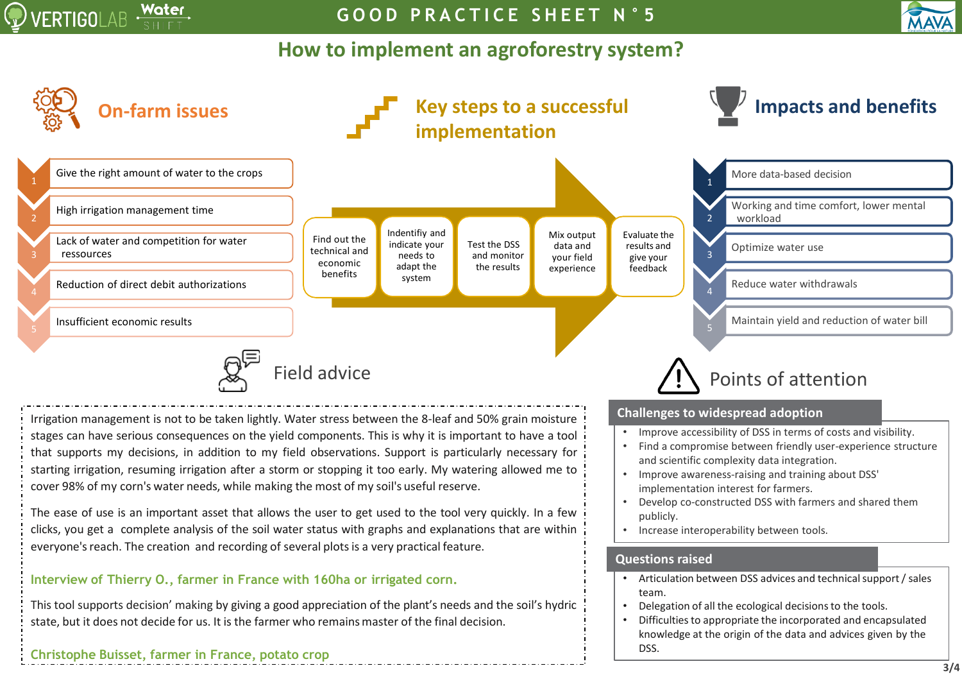

**G O O D P R A C T I C E S H E E T N ° 5**

## **How to implement an agroforestry system?**